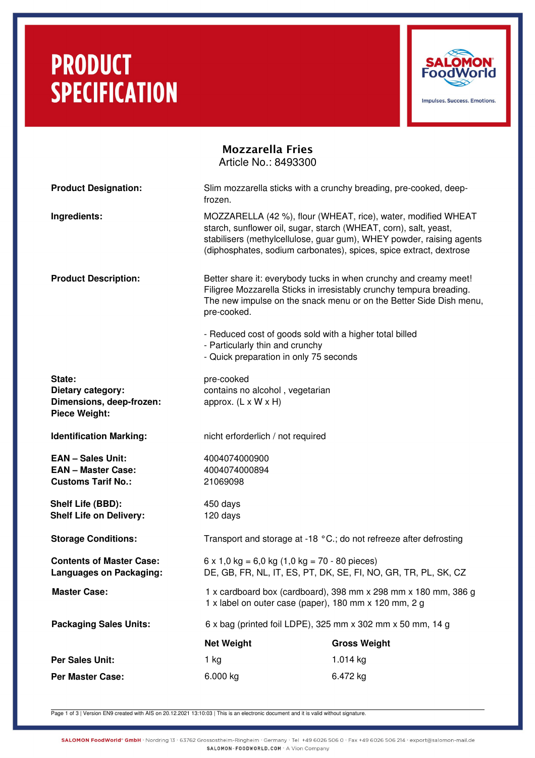# **PRODUCT SPECIFICATION**



## Mozzarella Fries Article No.: 8493300

| <b>Product Designation:</b>                                                        | Slim mozzarella sticks with a crunchy breading, pre-cooked, deep-<br>frozen.                                                                                                                                                                                                    |                     |  |
|------------------------------------------------------------------------------------|---------------------------------------------------------------------------------------------------------------------------------------------------------------------------------------------------------------------------------------------------------------------------------|---------------------|--|
| Ingredients:                                                                       | MOZZARELLA (42 %), flour (WHEAT, rice), water, modified WHEAT<br>starch, sunflower oil, sugar, starch (WHEAT, corn), salt, yeast,<br>stabilisers (methylcellulose, guar gum), WHEY powder, raising agents<br>(diphosphates, sodium carbonates), spices, spice extract, dextrose |                     |  |
| <b>Product Description:</b>                                                        | Better share it: everybody tucks in when crunchy and creamy meet!<br>Filigree Mozzarella Sticks in irresistably crunchy tempura breading.<br>The new impulse on the snack menu or on the Better Side Dish menu,<br>pre-cooked.                                                  |                     |  |
|                                                                                    | - Reduced cost of goods sold with a higher total billed<br>- Particularly thin and crunchy<br>- Quick preparation in only 75 seconds                                                                                                                                            |                     |  |
| State:<br>Dietary category:<br>Dimensions, deep-frozen:<br><b>Piece Weight:</b>    | pre-cooked<br>contains no alcohol, vegetarian<br>approx. $(L \times W \times H)$                                                                                                                                                                                                |                     |  |
| <b>Identification Marking:</b>                                                     | nicht erforderlich / not required                                                                                                                                                                                                                                               |                     |  |
| <b>EAN - Sales Unit:</b><br><b>EAN - Master Case:</b><br><b>Customs Tarif No.:</b> | 4004074000900<br>4004074000894<br>21069098                                                                                                                                                                                                                                      |                     |  |
| Shelf Life (BBD):<br><b>Shelf Life on Delivery:</b>                                | 450 days<br>120 days                                                                                                                                                                                                                                                            |                     |  |
| <b>Storage Conditions:</b>                                                         | Transport and storage at -18 °C.; do not refreeze after defrosting                                                                                                                                                                                                              |                     |  |
| <b>Contents of Master Case:</b><br><b>Languages on Packaging:</b>                  | $6 \times 1,0 \text{ kg} = 6,0 \text{ kg } (1,0 \text{ kg} = 70 - 80 \text{ pieces})$<br>DE, GB, FR, NL, IT, ES, PT, DK, SE, FI, NO, GR, TR, PL, SK, CZ                                                                                                                         |                     |  |
| <b>Master Case:</b>                                                                | 1 x cardboard box (cardboard), 398 mm x 298 mm x 180 mm, 386 g<br>1 x label on outer case (paper), 180 mm x 120 mm, 2 g                                                                                                                                                         |                     |  |
| <b>Packaging Sales Units:</b>                                                      | 6 x bag (printed foil LDPE), 325 mm x 302 mm x 50 mm, 14 g                                                                                                                                                                                                                      |                     |  |
|                                                                                    | <b>Net Weight</b>                                                                                                                                                                                                                                                               | <b>Gross Weight</b> |  |
| <b>Per Sales Unit:</b>                                                             | 1 kg                                                                                                                                                                                                                                                                            | 1.014 kg            |  |
| <b>Per Master Case:</b>                                                            | 6.000 kg                                                                                                                                                                                                                                                                        | 6.472 kg            |  |

Page 1 of 3 | Version EN9 created with AIS on 20.12.2021 13:10:03 | This is an electronic document and it is valid without signature.

SALOMON FoodWorld\* GmbH · Nordring 13 · 63762 Grossostheim-Ringheim · Germany · Tel +49 6026 506 0 · Fax +49 6026 506 214 · export@salomon-mail.de SALOMON-FOODWORLD.COM . A Vion Company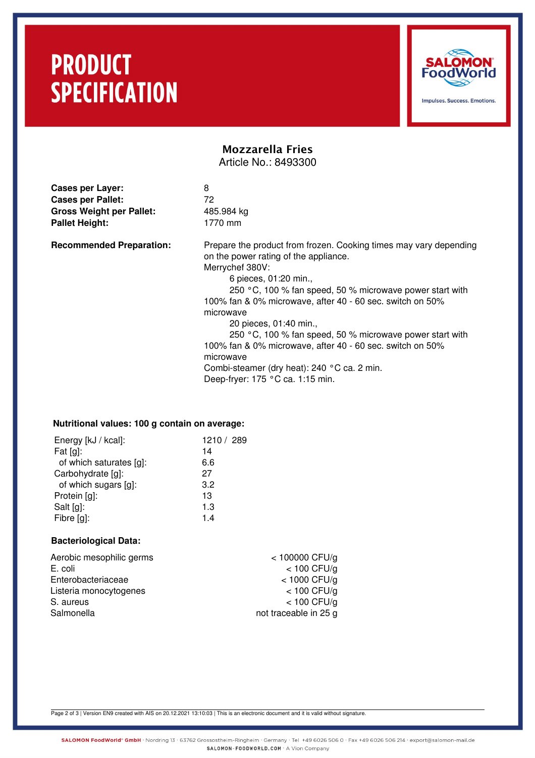# **PRODUCT SPECIFICATION**



Impulses, Success, Emotions.

## Mozzarella Fries Article No.: 8493300

**Cases per Layer:** 8 **Cases per Pallet:** 72 Gross Weight per Pallet: 485.984 kg Pallet Height: 1770 mm

**Recommended Preparation:** Prepare the product from frozen. Cooking times may vary depending on the power rating of the appliance. Merrychef 380V:

6 pieces, 01:20 min.,

250 °C, 100 % fan speed, 50 % microwave power start with 100% fan & 0% microwave, after 40 - 60 sec. switch on 50% microwave

20 pieces, 01:40 min.,

250 °C, 100 % fan speed, 50 % microwave power start with 100% fan & 0% microwave, after 40 - 60 sec. switch on 50% microwave Combi-steamer (dry heat): 240 °C ca. 2 min.

Deep-fryer: 175 °C ca. 1:15 min.

### **Nutritional values: 100 g contain on average:**

| Energy [kJ / kcal]:     | 1210 / 289 |
|-------------------------|------------|
| Fat $[g]$ :             | 14         |
| of which saturates [g]: | 6.6        |
| Carbohydrate [g]:       | 27         |
| of which sugars [g]:    | 3.2        |
| Protein [g]:            | 13         |
| Salt [g]:               | 1.3        |
| Fibre [g]:              | 14         |

#### **Bacteriological Data:**

| $<$ 100000 CFU/g      |
|-----------------------|
| $<$ 100 CFU/g         |
| $<$ 1000 CFU/g        |
| $<$ 100 CFU/g         |
| $<$ 100 CFU/g         |
| not traceable in 25 g |
|                       |

Page 2 of 3 | Version EN9 created with AIS on 20.12.2021 13:10:03 | This is an electronic document and it is valid without signature.